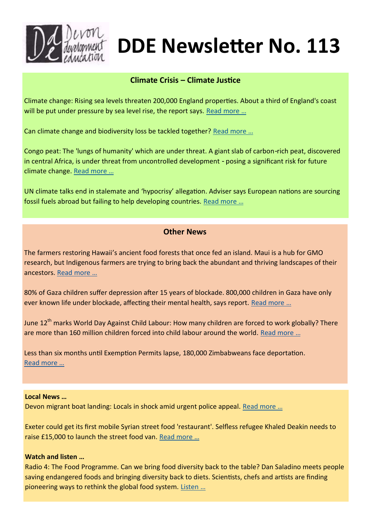

# **DDE Newsletter No. 113**

## **Climate Crisis – Climate Justice**

Climate change: Rising sea levels threaten 200,000 England properties. About a third of England's coast will be put under pressure by sea level rise, the report says. Read more ...

Can climate change and biodiversity loss be tackled together? [Read more …](https://www.carbonbrief.org/explainer-can-climate-change-and-biodiversity-loss-be-tackled-together/)

Congo peat: The 'lungs of humanity' which are under threat. A giant slab of carbon-rich peat, discovered in central Africa, is under threat from uncontrolled development - posing a significant risk for future climate change. [Read more …](https://www.bbc.co.uk/news/world-africa-61708452)

UN climate talks end in stalemate and 'hypocrisy' allegation. Adviser says European nations are sourcing fossil fuels abroad but failing to help developing countries. [Read more …](https://www.theguardian.com/environment/2022/jun/17/un-climate-talks-stalemate-hypocrisy-allegation-european)

# **Other News**

The farmers restoring Hawaii's ancient food forests that once fed an island. Maui is a hub for GMO research, but Indigenous farmers are trying to bring back the abundant and thriving landscapes of their ancestors. [Read more …](https://www.theguardian.com/environment/2022/jun/17/hawaii-traditional-farming-methods-ancient-food-forests)

80% of Gaza children suffer depression after 15 years of blockade. 800,000 children in Gaza have only ever known life under blockade, affecting their mental health, says report. [Read more …](https://www.aljazeera.com/news/2022/6/15/15-years-of-blockade-80-of-gaza-children-suffer-depression)

June 12<sup>th</sup> marks World Day Against Child Labour: How many children are forced to work globally? There are more than 160 million children forced into child labour around the world. [Read more …](https://www.aljazeera.com/news/2022/6/12/infographic-how-many-children-are-forced-to-work)

Less than six months until Exemption Permits lapse, 180,000 Zimbabweans face deportation. [Read more …](https://www.dailymaverick.co.za/article/2022-06-10-less-than-six-months-until-exemption-permits-lapse-180000-zimbabweans-face-deportation/)

## **Local News …**

Devon migrant boat landing: Locals in shock amid urgent police appeal. Read more ...

Exeter could get its first mobile Syrian street food 'restaurant'. Selfless refugee Khaled Deakin needs to raise £15,000 to launch the street food van. [Read more …](https://www.devonlive.com/whats-on/food-drink/exeter-could-first-mobile-syrian-7183149)

## **Watch and listen …**

Radio 4: The Food Programme. Can we bring food diversity back to the table? Dan Saladino meets people saving endangered foods and bringing diversity back to diets. Scientists, chefs and artists are finding pioneering ways to rethink the global food system. [Listen …](https://www.bbc.co.uk/programmes/m00187p5)